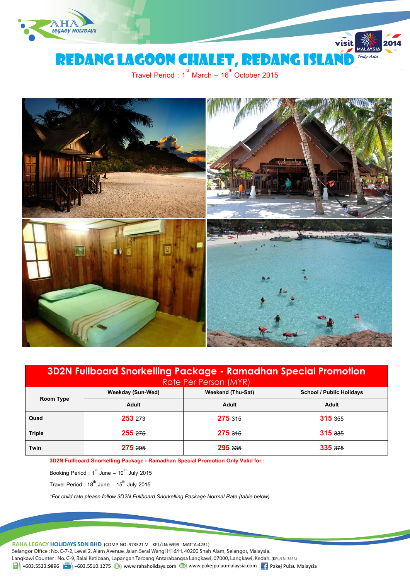

REDANG LAGOON CHALET, REDANG ISLA

Travel Period : 1 $^{\text{st}}$  March – 16 $^{\text{th}}$  October 2015



| 3D2N Fullboard Snorkelling Package - Ramadhan Special Promotion<br>Rate Per Person (MYR) |                          |                   |                                 |  |  |  |  |
|------------------------------------------------------------------------------------------|--------------------------|-------------------|---------------------------------|--|--|--|--|
| Room Type                                                                                | <b>Weekday (Sun-Wed)</b> | Weekend (Thu-Sat) | <b>School / Public Holidavs</b> |  |  |  |  |
|                                                                                          | Adult                    | Adult             | Adult                           |  |  |  |  |
| Quad                                                                                     | 253, 273                 | $275$ $315$       | 315.355                         |  |  |  |  |
| <b>Triple</b>                                                                            | $255 \; 275$             | 275.345           | 315 <sub>335</sub>              |  |  |  |  |
| Twin                                                                                     | 275.295                  | $295 \;335$       | 335.375                         |  |  |  |  |

**3D2N Fullboard Snorkelling Package - Ramadhan Special Promotion Only Valid for :**

Booking Period :  $1^{\text{st}}$  June –  $10^{\text{th}}$  July 2015

Travel Period :  $18^{th}$  June –  $15^{th}$  July 2015

*\*For child rate please follow 3D2N Fullboard Snorkelling Package Normal Rate (table below)*

RAHA LEGACY HOLIDAYS SDN BHD (COMP. NO: 973521-V KPL/LN: 6999 MATTA:4231)

Selangor Office : No. C-7-2, Level 2, Alam Avenue, Jalan Serai Wangi H16/H, 40200 Shah Alam, Selangor, Malaysia. Langkawi Counter: No. C-9, Balai Ketibaan, Lapangan Terbang Antarabangsa Langkawi, 07000, Langkawi, Kedah. (KPL/LN: 3453)  $\frac{1}{21}$  +603.5523.9896  $\frac{1}{21}$  +603.5510.1275  $\bigoplus$  www.rahaholidays.com  $\bigoplus$  www.pakejpulaumalaysia.com  $\bigoplus$  Pakej Pulau Malaysia